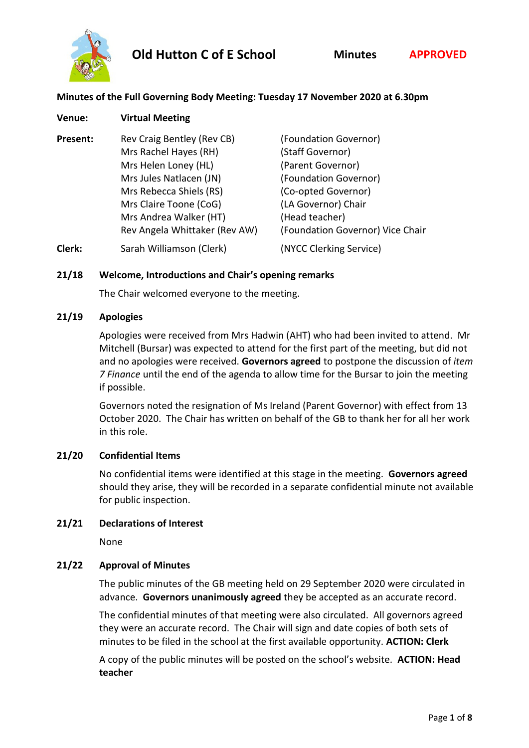

# **Minutes of the Full Governing Body Meeting: Tuesday 17 November 2020 at 6.30pm**

| Venue:   | <b>Virtual Meeting</b>                                                                                                                                                                                                 |                                                                                                                                                                                             |
|----------|------------------------------------------------------------------------------------------------------------------------------------------------------------------------------------------------------------------------|---------------------------------------------------------------------------------------------------------------------------------------------------------------------------------------------|
| Present: | Rev Craig Bentley (Rev CB)<br>Mrs Rachel Hayes (RH)<br>Mrs Helen Loney (HL)<br>Mrs Jules Natlacen (JN)<br>Mrs Rebecca Shiels (RS)<br>Mrs Claire Toone (CoG)<br>Mrs Andrea Walker (HT)<br>Rev Angela Whittaker (Rev AW) | (Foundation Governor)<br>(Staff Governor)<br>(Parent Governor)<br>(Foundation Governor)<br>(Co-opted Governor)<br>(LA Governor) Chair<br>(Head teacher)<br>(Foundation Governor) Vice Chair |
| Clerk:   | Sarah Williamson (Clerk)                                                                                                                                                                                               | (NYCC Clerking Service)                                                                                                                                                                     |

## **21/18 Welcome, Introductions and Chair's opening remarks**

The Chair welcomed everyone to the meeting.

#### **21/19 Apologies**

Apologies were received from Mrs Hadwin (AHT) who had been invited to attend. Mr Mitchell (Bursar) was expected to attend for the first part of the meeting, but did not and no apologies were received. **Governors agreed** to postpone the discussion of *item 7 Finance* until the end of the agenda to allow time for the Bursar to join the meeting if possible.

Governors noted the resignation of Ms Ireland (Parent Governor) with effect from 13 October 2020. The Chair has written on behalf of the GB to thank her for all her work in this role.

#### **21/20 Confidential Items**

No confidential items were identified at this stage in the meeting. **Governors agreed** should they arise, they will be recorded in a separate confidential minute not available for public inspection.

#### **21/21 Declarations of Interest**

None

#### **21/22 Approval of Minutes**

The public minutes of the GB meeting held on 29 September 2020 were circulated in advance. **Governors unanimously agreed** they be accepted as an accurate record.

The confidential minutes of that meeting were also circulated. All governors agreed they were an accurate record. The Chair will sign and date copies of both sets of minutes to be filed in the school at the first available opportunity. **ACTION: Clerk**

A copy of the public minutes will be posted on the school's website. **ACTION: Head teacher**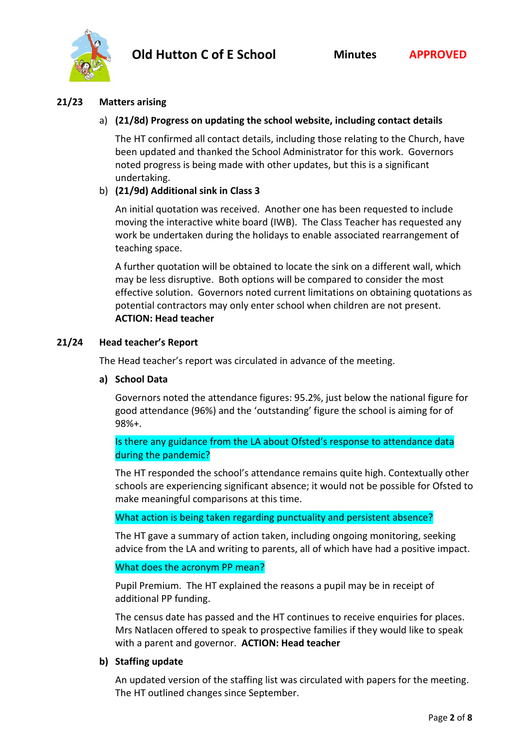



### **21/23 Matters arising**

## a) **(21/8d) Progress on updating the school website, including contact details**

The HT confirmed all contact details, including those relating to the Church, have been updated and thanked the School Administrator for this work. Governors noted progress is being made with other updates, but this is a significant undertaking.

## b) **(21/9d) Additional sink in Class 3**

An initial quotation was received. Another one has been requested to include moving the interactive white board (IWB). The Class Teacher has requested any work be undertaken during the holidays to enable associated rearrangement of teaching space.

A further quotation will be obtained to locate the sink on a different wall, which may be less disruptive. Both options will be compared to consider the most effective solution. Governors noted current limitations on obtaining quotations as potential contractors may only enter school when children are not present. **ACTION: Head teacher**

#### **21/24 Head teacher's Report**

The Head teacher's report was circulated in advance of the meeting.

#### **a) School Data**

Governors noted the attendance figures: 95.2%, just below the national figure for good attendance (96%) and the 'outstanding' figure the school is aiming for of 98%+.

Is there any guidance from the LA about Ofsted's response to attendance data during the pandemic?

The HT responded the school's attendance remains quite high. Contextually other schools are experiencing significant absence; it would not be possible for Ofsted to make meaningful comparisons at this time.

What action is being taken regarding punctuality and persistent absence?

The HT gave a summary of action taken, including ongoing monitoring, seeking advice from the LA and writing to parents, all of which have had a positive impact.

## What does the acronym PP mean?

Pupil Premium. The HT explained the reasons a pupil may be in receipt of additional PP funding.

The census date has passed and the HT continues to receive enquiries for places. Mrs Natlacen offered to speak to prospective families if they would like to speak with a parent and governor. **ACTION: Head teacher**

#### **b) Staffing update**

An updated version of the staffing list was circulated with papers for the meeting. The HT outlined changes since September.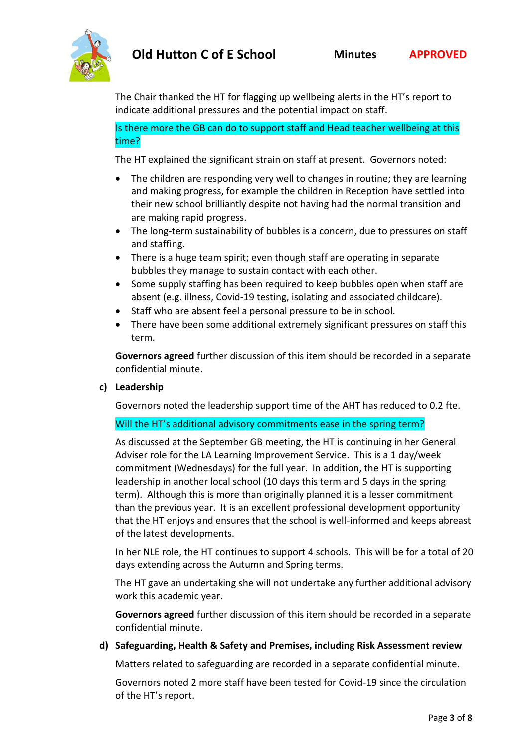

The Chair thanked the HT for flagging up wellbeing alerts in the HT's report to indicate additional pressures and the potential impact on staff.

Is there more the GB can do to support staff and Head teacher wellbeing at this time?

The HT explained the significant strain on staff at present. Governors noted:

- The children are responding very well to changes in routine; they are learning and making progress, for example the children in Reception have settled into their new school brilliantly despite not having had the normal transition and are making rapid progress.
- The long-term sustainability of bubbles is a concern, due to pressures on staff and staffing.
- There is a huge team spirit; even though staff are operating in separate bubbles they manage to sustain contact with each other.
- Some supply staffing has been required to keep bubbles open when staff are absent (e.g. illness, Covid-19 testing, isolating and associated childcare).
- Staff who are absent feel a personal pressure to be in school.
- There have been some additional extremely significant pressures on staff this term.

**Governors agreed** further discussion of this item should be recorded in a separate confidential minute.

#### **c) Leadership**

Governors noted the leadership support time of the AHT has reduced to 0.2 fte.

#### Will the HT's additional advisory commitments ease in the spring term?

As discussed at the September GB meeting, the HT is continuing in her General Adviser role for the LA Learning Improvement Service. This is a 1 day/week commitment (Wednesdays) for the full year. In addition, the HT is supporting leadership in another local school (10 days this term and 5 days in the spring term). Although this is more than originally planned it is a lesser commitment than the previous year. It is an excellent professional development opportunity that the HT enjoys and ensures that the school is well-informed and keeps abreast of the latest developments.

In her NLE role, the HT continues to support 4 schools. This will be for a total of 20 days extending across the Autumn and Spring terms.

The HT gave an undertaking she will not undertake any further additional advisory work this academic year.

**Governors agreed** further discussion of this item should be recorded in a separate confidential minute.

#### **d) Safeguarding, Health & Safety and Premises, including Risk Assessment review**

Matters related to safeguarding are recorded in a separate confidential minute.

Governors noted 2 more staff have been tested for Covid-19 since the circulation of the HT's report.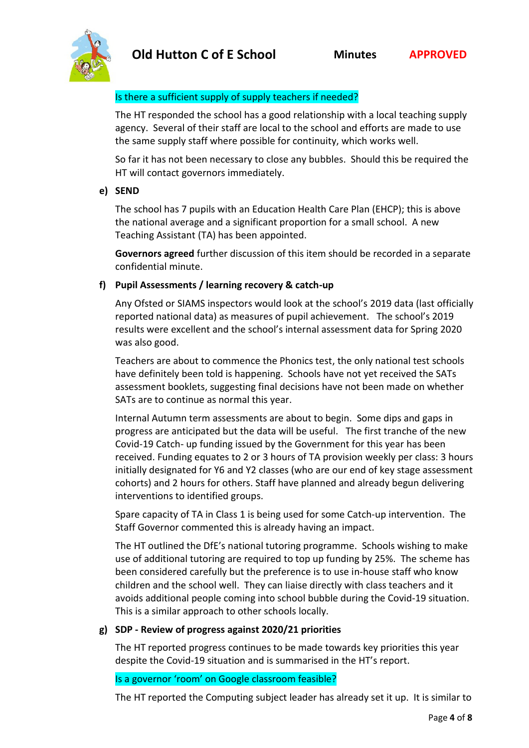

# Is there a sufficient supply of supply teachers if needed?

The HT responded the school has a good relationship with a local teaching supply agency. Several of their staff are local to the school and efforts are made to use the same supply staff where possible for continuity, which works well.

So far it has not been necessary to close any bubbles. Should this be required the HT will contact governors immediately.

# **e) SEND**

The school has 7 pupils with an Education Health Care Plan (EHCP); this is above the national average and a significant proportion for a small school. A new Teaching Assistant (TA) has been appointed.

**Governors agreed** further discussion of this item should be recorded in a separate confidential minute.

# **f) Pupil Assessments / learning recovery & catch-up**

Any Ofsted or SIAMS inspectors would look at the school's 2019 data (last officially reported national data) as measures of pupil achievement. The school's 2019 results were excellent and the school's internal assessment data for Spring 2020 was also good.

Teachers are about to commence the Phonics test, the only national test schools have definitely been told is happening. Schools have not yet received the SATs assessment booklets, suggesting final decisions have not been made on whether SATs are to continue as normal this year.

Internal Autumn term assessments are about to begin. Some dips and gaps in progress are anticipated but the data will be useful. The first tranche of the new Covid-19 Catch- up funding issued by the Government for this year has been received. Funding equates to 2 or 3 hours of TA provision weekly per class: 3 hours initially designated for Y6 and Y2 classes (who are our end of key stage assessment cohorts) and 2 hours for others. Staff have planned and already begun delivering interventions to identified groups.

Spare capacity of TA in Class 1 is being used for some Catch-up intervention. The Staff Governor commented this is already having an impact.

The HT outlined the DfE's national tutoring programme. Schools wishing to make use of additional tutoring are required to top up funding by 25%. The scheme has been considered carefully but the preference is to use in-house staff who know children and the school well. They can liaise directly with class teachers and it avoids additional people coming into school bubble during the Covid-19 situation. This is a similar approach to other schools locally.

# **g) SDP - Review of progress against 2020/21 priorities**

The HT reported progress continues to be made towards key priorities this year despite the Covid-19 situation and is summarised in the HT's report.

# Is a governor 'room' on Google classroom feasible?

The HT reported the Computing subject leader has already set it up. It is similar to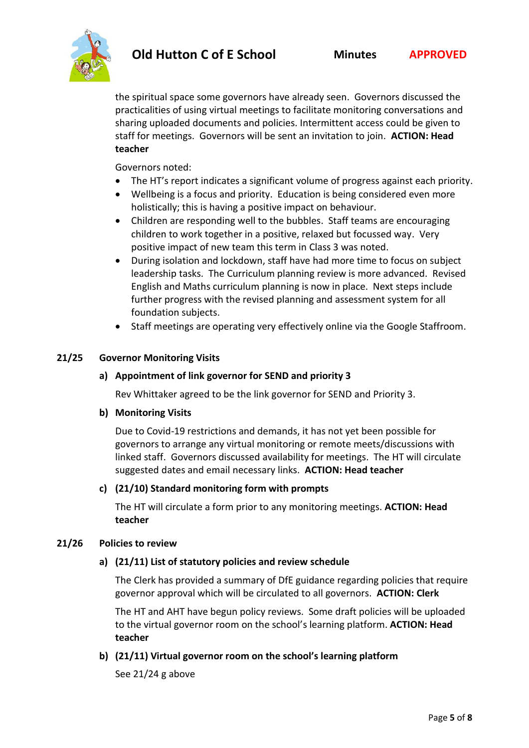

the spiritual space some governors have already seen. Governors discussed the practicalities of using virtual meetings to facilitate monitoring conversations and sharing uploaded documents and policies. Intermittent access could be given to staff for meetings. Governors will be sent an invitation to join. **ACTION: Head teacher**

Governors noted:

- The HT's report indicates a significant volume of progress against each priority.
- Wellbeing is a focus and priority. Education is being considered even more holistically; this is having a positive impact on behaviour.
- Children are responding well to the bubbles. Staff teams are encouraging children to work together in a positive, relaxed but focussed way. Very positive impact of new team this term in Class 3 was noted.
- During isolation and lockdown, staff have had more time to focus on subject leadership tasks. The Curriculum planning review is more advanced. Revised English and Maths curriculum planning is now in place. Next steps include further progress with the revised planning and assessment system for all foundation subjects.
- Staff meetings are operating very effectively online via the Google Staffroom.

#### **21/25 Governor Monitoring Visits**

#### **a) Appointment of link governor for SEND and priority 3**

Rev Whittaker agreed to be the link governor for SEND and Priority 3.

#### **b) Monitoring Visits**

Due to Covid-19 restrictions and demands, it has not yet been possible for governors to arrange any virtual monitoring or remote meets/discussions with linked staff. Governors discussed availability for meetings. The HT will circulate suggested dates and email necessary links. **ACTION: Head teacher**

#### **c) (21/10) Standard monitoring form with prompts**

The HT will circulate a form prior to any monitoring meetings. **ACTION: Head teacher**

#### **21/26 Policies to review**

#### **a) (21/11) List of statutory policies and review schedule**

The Clerk has provided a summary of DfE guidance regarding policies that require governor approval which will be circulated to all governors. **ACTION: Clerk**

The HT and AHT have begun policy reviews. Some draft policies will be uploaded to the virtual governor room on the school's learning platform. **ACTION: Head teacher**

#### **b) (21/11) Virtual governor room on the school's learning platform**

See 21/24 g above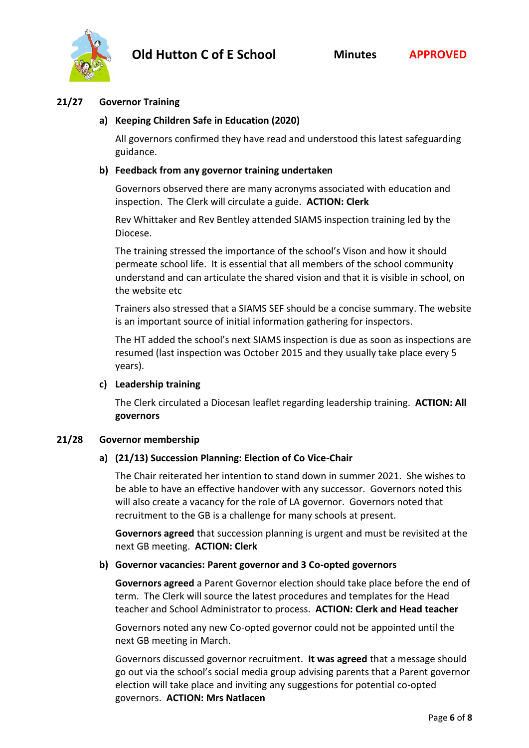

## **21/27 Governor Training**

## **a) Keeping Children Safe in Education (2020)**

All governors confirmed they have read and understood this latest safeguarding guidance.

#### **b) Feedback from any governor training undertaken**

Governors observed there are many acronyms associated with education and inspection. The Clerk will circulate a guide. **ACTION: Clerk**

Rev Whittaker and Rev Bentley attended SIAMS inspection training led by the Diocese.

The training stressed the importance of the school's Vison and how it should permeate school life. It is essential that all members of the school community understand and can articulate the shared vision and that it is visible in school, on the website etc

Trainers also stressed that a SIAMS SEF should be a concise summary. The website is an important source of initial information gathering for inspectors.

The HT added the school's next SIAMS inspection is due as soon as inspections are resumed (last inspection was October 2015 and they usually take place every 5 years).

#### **c) Leadership training**

The Clerk circulated a Diocesan leaflet regarding leadership training. **ACTION: All governors** 

#### **21/28 Governor membership**

#### **a) (21/13) Succession Planning: Election of Co Vice-Chair**

The Chair reiterated her intention to stand down in summer 2021. She wishes to be able to have an effective handover with any successor. Governors noted this will also create a vacancy for the role of LA governor. Governors noted that recruitment to the GB is a challenge for many schools at present.

**Governors agreed** that succession planning is urgent and must be revisited at the next GB meeting. **ACTION: Clerk**

#### **b) Governor vacancies: Parent governor and 3 Co-opted governors**

**Governors agreed** a Parent Governor election should take place before the end of term. The Clerk will source the latest procedures and templates for the Head teacher and School Administrator to process. **ACTION: Clerk and Head teacher**

Governors noted any new Co-opted governor could not be appointed until the next GB meeting in March.

Governors discussed governor recruitment. **It was agreed** that a message should go out via the school's social media group advising parents that a Parent governor election will take place and inviting any suggestions for potential co-opted governors. **ACTION: Mrs Natlacen**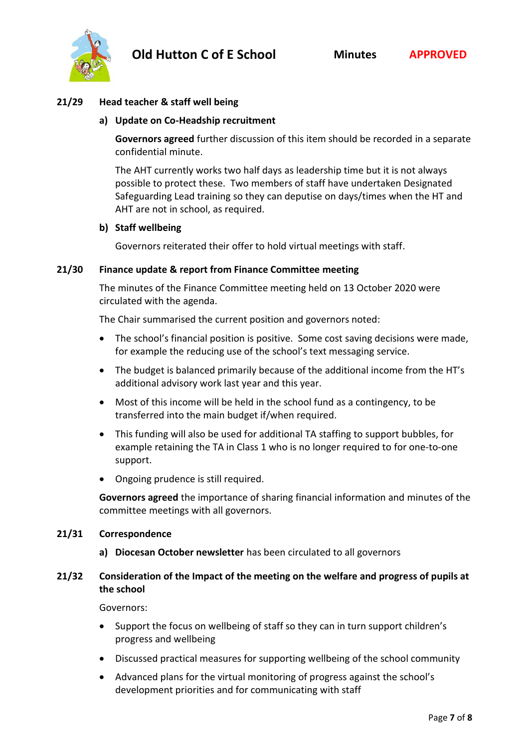

#### **21/29 Head teacher & staff well being**

#### **a) Update on Co-Headship recruitment**

**Governors agreed** further discussion of this item should be recorded in a separate confidential minute.

The AHT currently works two half days as leadership time but it is not always possible to protect these. Two members of staff have undertaken Designated Safeguarding Lead training so they can deputise on days/times when the HT and AHT are not in school, as required.

#### **b) Staff wellbeing**

Governors reiterated their offer to hold virtual meetings with staff.

#### **21/30 Finance update & report from Finance Committee meeting**

The minutes of the Finance Committee meeting held on 13 October 2020 were circulated with the agenda.

The Chair summarised the current position and governors noted:

- The school's financial position is positive. Some cost saving decisions were made, for example the reducing use of the school's text messaging service.
- The budget is balanced primarily because of the additional income from the HT's additional advisory work last year and this year.
- Most of this income will be held in the school fund as a contingency, to be transferred into the main budget if/when required.
- This funding will also be used for additional TA staffing to support bubbles, for example retaining the TA in Class 1 who is no longer required to for one-to-one support.
- Ongoing prudence is still required.

**Governors agreed** the importance of sharing financial information and minutes of the committee meetings with all governors.

#### **21/31 Correspondence**

**a) Diocesan October newsletter** has been circulated to all governors

## **21/32 Consideration of the Impact of the meeting on the welfare and progress of pupils at the school**

Governors:

- Support the focus on wellbeing of staff so they can in turn support children's progress and wellbeing
- Discussed practical measures for supporting wellbeing of the school community
- Advanced plans for the virtual monitoring of progress against the school's development priorities and for communicating with staff